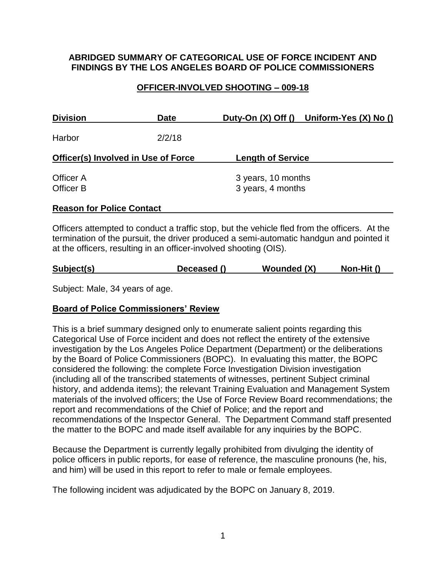### **ABRIDGED SUMMARY OF CATEGORICAL USE OF FORCE INCIDENT AND FINDINGS BY THE LOS ANGELES BOARD OF POLICE COMMISSIONERS**

## **OFFICER-INVOLVED SHOOTING – 009-18**

| <b>Division</b>                            | Date   |                                         | Duty-On (X) Off () Uniform-Yes (X) No () |
|--------------------------------------------|--------|-----------------------------------------|------------------------------------------|
| Harbor                                     | 2/2/18 |                                         |                                          |
| <b>Officer(s) Involved in Use of Force</b> |        | <b>Length of Service</b>                |                                          |
| Officer A<br>Officer B                     |        | 3 years, 10 months<br>3 years, 4 months |                                          |
| <b>Reason for Police Contact</b>           |        |                                         |                                          |

Officers attempted to conduct a traffic stop, but the vehicle fled from the officers. At the termination of the pursuit, the driver produced a semi-automatic handgun and pointed it at the officers, resulting in an officer-involved shooting (OIS).

| Subject(s)<br>Deceased () | Wounded (X) | Non-Hit () |  |
|---------------------------|-------------|------------|--|
|---------------------------|-------------|------------|--|

Subject: Male, 34 years of age.

## **Board of Police Commissioners' Review**

This is a brief summary designed only to enumerate salient points regarding this Categorical Use of Force incident and does not reflect the entirety of the extensive investigation by the Los Angeles Police Department (Department) or the deliberations by the Board of Police Commissioners (BOPC). In evaluating this matter, the BOPC considered the following: the complete Force Investigation Division investigation (including all of the transcribed statements of witnesses, pertinent Subject criminal history, and addenda items); the relevant Training Evaluation and Management System materials of the involved officers; the Use of Force Review Board recommendations; the report and recommendations of the Chief of Police; and the report and recommendations of the Inspector General. The Department Command staff presented the matter to the BOPC and made itself available for any inquiries by the BOPC.

Because the Department is currently legally prohibited from divulging the identity of police officers in public reports, for ease of reference, the masculine pronouns (he, his, and him) will be used in this report to refer to male or female employees.

The following incident was adjudicated by the BOPC on January 8, 2019.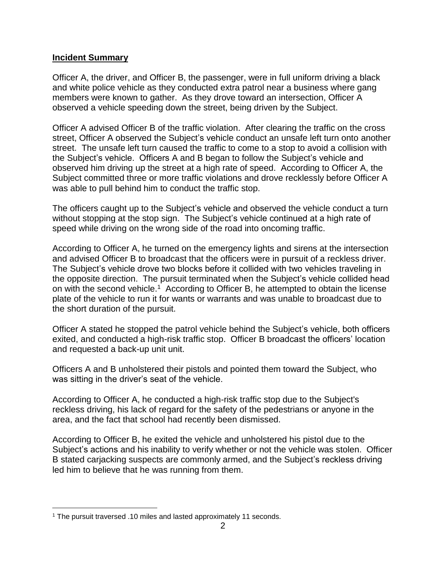### **Incident Summary**

Officer A, the driver, and Officer B, the passenger, were in full uniform driving a black and white police vehicle as they conducted extra patrol near a business where gang members were known to gather. As they drove toward an intersection, Officer A observed a vehicle speeding down the street, being driven by the Subject.

Officer A advised Officer B of the traffic violation. After clearing the traffic on the cross street, Officer A observed the Subject's vehicle conduct an unsafe left turn onto another street. The unsafe left turn caused the traffic to come to a stop to avoid a collision with the Subject's vehicle. Officers A and B began to follow the Subject's vehicle and observed him driving up the street at a high rate of speed. According to Officer A, the Subject committed three or more traffic violations and drove recklessly before Officer A was able to pull behind him to conduct the traffic stop.

The officers caught up to the Subject's vehicle and observed the vehicle conduct a turn without stopping at the stop sign. The Subject's vehicle continued at a high rate of speed while driving on the wrong side of the road into oncoming traffic.

According to Officer A, he turned on the emergency lights and sirens at the intersection and advised Officer B to broadcast that the officers were in pursuit of a reckless driver. The Subject's vehicle drove two blocks before it collided with two vehicles traveling in the opposite direction. The pursuit terminated when the Subject's vehicle collided head on with the second vehicle.<sup>1</sup> According to Officer B, he attempted to obtain the license plate of the vehicle to run it for wants or warrants and was unable to broadcast due to the short duration of the pursuit.

Officer A stated he stopped the patrol vehicle behind the Subject's vehicle, both officers exited, and conducted a high-risk traffic stop. Officer B broadcast the officers' location and requested a back-up unit unit.

Officers A and B unholstered their pistols and pointed them toward the Subject, who was sitting in the driver's seat of the vehicle.

According to Officer A, he conducted a high-risk traffic stop due to the Subject's reckless driving, his lack of regard for the safety of the pedestrians or anyone in the area, and the fact that school had recently been dismissed.

According to Officer B, he exited the vehicle and unholstered his pistol due to the Subject's actions and his inability to verify whether or not the vehicle was stolen. Officer B stated carjacking suspects are commonly armed, and the Subject's reckless driving led him to believe that he was running from them.

 $\overline{a}$ 

<sup>1</sup> The pursuit traversed .10 miles and lasted approximately 11 seconds.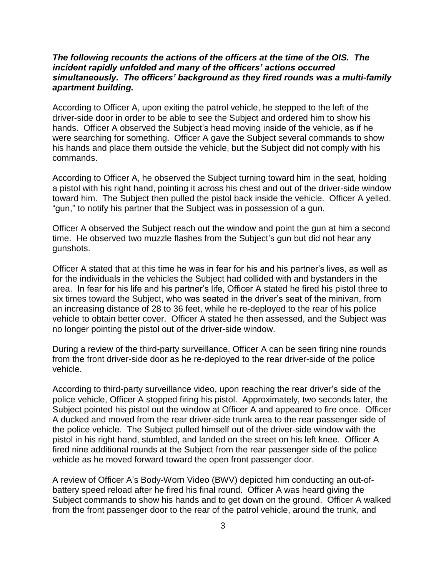#### *The following recounts the actions of the officers at the time of the OIS. The incident rapidly unfolded and many of the officers' actions occurred simultaneously. The officers' background as they fired rounds was a multi-family apartment building.*

According to Officer A, upon exiting the patrol vehicle, he stepped to the left of the driver-side door in order to be able to see the Subject and ordered him to show his hands. Officer A observed the Subject's head moving inside of the vehicle, as if he were searching for something. Officer A gave the Subject several commands to show his hands and place them outside the vehicle, but the Subject did not comply with his commands.

According to Officer A, he observed the Subject turning toward him in the seat, holding a pistol with his right hand, pointing it across his chest and out of the driver-side window toward him. The Subject then pulled the pistol back inside the vehicle. Officer A yelled, "gun," to notify his partner that the Subject was in possession of a gun.

Officer A observed the Subject reach out the window and point the gun at him a second time. He observed two muzzle flashes from the Subject's gun but did not hear any gunshots.

Officer A stated that at this time he was in fear for his and his partner's lives, as well as for the individuals in the vehicles the Subject had collided with and bystanders in the area. In fear for his life and his partner's life, Officer A stated he fired his pistol three to six times toward the Subject, who was seated in the driver's seat of the minivan, from an increasing distance of 28 to 36 feet, while he re-deployed to the rear of his police vehicle to obtain better cover. Officer A stated he then assessed, and the Subject was no longer pointing the pistol out of the driver-side window.

During a review of the third-party surveillance, Officer A can be seen firing nine rounds from the front driver-side door as he re-deployed to the rear driver-side of the police vehicle.

According to third-party surveillance video, upon reaching the rear driver's side of the police vehicle, Officer A stopped firing his pistol. Approximately, two seconds later, the Subject pointed his pistol out the window at Officer A and appeared to fire once. Officer A ducked and moved from the rear driver-side trunk area to the rear passenger side of the police vehicle. The Subject pulled himself out of the driver-side window with the pistol in his right hand, stumbled, and landed on the street on his left knee. Officer A fired nine additional rounds at the Subject from the rear passenger side of the police vehicle as he moved forward toward the open front passenger door.

A review of Officer A's Body-Worn Video (BWV) depicted him conducting an out-ofbattery speed reload after he fired his final round. Officer A was heard giving the Subject commands to show his hands and to get down on the ground. Officer A walked from the front passenger door to the rear of the patrol vehicle, around the trunk, and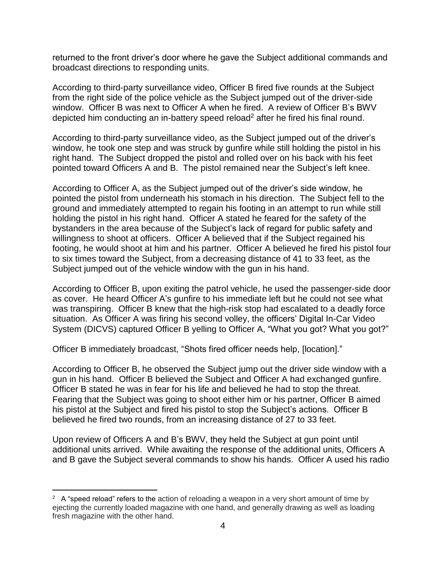returned to the front driver's door where he gave the Subject additional commands and broadcast directions to responding units.

According to third-party surveillance video, Officer B fired five rounds at the Subject from the right side of the police vehicle as the Subject jumped out of the driver-side window. Officer B was next to Officer A when he fired. A review of Officer B's BWV depicted him conducting an in-battery speed reload<sup>2</sup> after he fired his final round.

According to third-party surveillance video, as the Subject jumped out of the driver's window, he took one step and was struck by gunfire while still holding the pistol in his right hand. The Subject dropped the pistol and rolled over on his back with his feet pointed toward Officers A and B. The pistol remained near the Subject's left knee.

According to Officer A, as the Subject jumped out of the driver's side window, he pointed the pistol from underneath his stomach in his direction. The Subject fell to the ground and immediately attempted to regain his footing in an attempt to run while still holding the pistol in his right hand. Officer A stated he feared for the safety of the bystanders in the area because of the Subject's lack of regard for public safety and willingness to shoot at officers. Officer A believed that if the Subject regained his footing, he would shoot at him and his partner. Officer A believed he fired his pistol four to six times toward the Subject, from a decreasing distance of 41 to 33 feet, as the Subject jumped out of the vehicle window with the gun in his hand.

According to Officer B, upon exiting the patrol vehicle, he used the passenger-side door as cover. He heard Officer A's gunfire to his immediate left but he could not see what was transpiring. Officer B knew that the high-risk stop had escalated to a deadly force situation. As Officer A was firing his second volley, the officers' Digital In-Car Video System (DICVS) captured Officer B yelling to Officer A, "What you got? What you got?"

Officer B immediately broadcast, "Shots fired officer needs help, [location]."

According to Officer B, he observed the Subject jump out the driver side window with a gun in his hand. Officer B believed the Subject and Officer A had exchanged gunfire. Officer B stated he was in fear for his life and believed he had to stop the threat. Fearing that the Subject was going to shoot either him or his partner, Officer B aimed his pistol at the Subject and fired his pistol to stop the Subject's actions. Officer B believed he fired two rounds, from an increasing distance of 27 to 33 feet.

Upon review of Officers A and B's BWV, they held the Subject at gun point until additional units arrived. While awaiting the response of the additional units, Officers A and B gave the Subject several commands to show his hands. Officer A used his radio

 $\overline{a}$ 

<sup>&</sup>lt;sup>2</sup> A "speed reload" refers to the action of reloading a weapon in a very short amount of time by ejecting the currently loaded magazine with one hand, and generally drawing as well as loading fresh magazine with the other hand.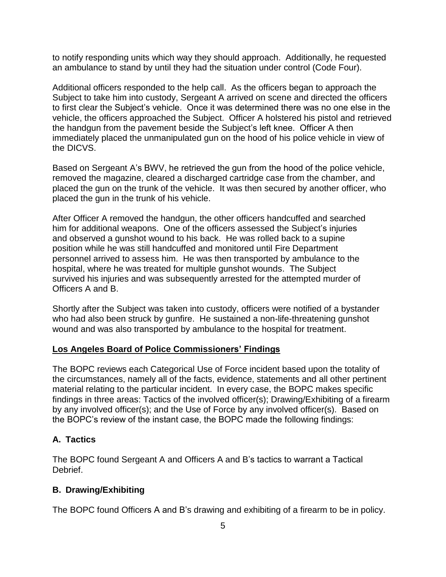to notify responding units which way they should approach. Additionally, he requested an ambulance to stand by until they had the situation under control (Code Four).

Additional officers responded to the help call. As the officers began to approach the Subject to take him into custody, Sergeant A arrived on scene and directed the officers to first clear the Subject's vehicle. Once it was determined there was no one else in the vehicle, the officers approached the Subject. Officer A holstered his pistol and retrieved the handgun from the pavement beside the Subject's left knee. Officer A then immediately placed the unmanipulated gun on the hood of his police vehicle in view of the DICVS.

Based on Sergeant A's BWV, he retrieved the gun from the hood of the police vehicle, removed the magazine, cleared a discharged cartridge case from the chamber, and placed the gun on the trunk of the vehicle. It was then secured by another officer, who placed the gun in the trunk of his vehicle.

After Officer A removed the handgun, the other officers handcuffed and searched him for additional weapons. One of the officers assessed the Subject's injuries and observed a gunshot wound to his back. He was rolled back to a supine position while he was still handcuffed and monitored until Fire Department personnel arrived to assess him. He was then transported by ambulance to the hospital, where he was treated for multiple gunshot wounds. The Subject survived his injuries and was subsequently arrested for the attempted murder of Officers A and B.

Shortly after the Subject was taken into custody, officers were notified of a bystander who had also been struck by gunfire. He sustained a non-life-threatening gunshot wound and was also transported by ambulance to the hospital for treatment.

### **Los Angeles Board of Police Commissioners' Findings**

The BOPC reviews each Categorical Use of Force incident based upon the totality of the circumstances, namely all of the facts, evidence, statements and all other pertinent material relating to the particular incident. In every case, the BOPC makes specific findings in three areas: Tactics of the involved officer(s); Drawing/Exhibiting of a firearm by any involved officer(s); and the Use of Force by any involved officer(s). Based on the BOPC's review of the instant case, the BOPC made the following findings:

## **A. Tactics**

The BOPC found Sergeant A and Officers A and B's tactics to warrant a Tactical Debrief.

## **B. Drawing/Exhibiting**

The BOPC found Officers A and B's drawing and exhibiting of a firearm to be in policy.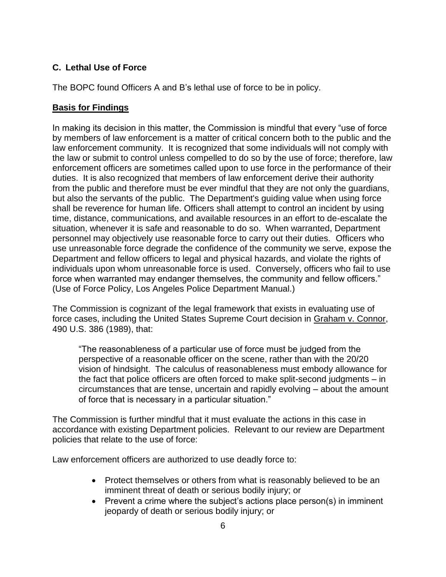# **C. Lethal Use of Force**

The BOPC found Officers A and B's lethal use of force to be in policy.

### **Basis for Findings**

In making its decision in this matter, the Commission is mindful that every "use of force by members of law enforcement is a matter of critical concern both to the public and the law enforcement community. It is recognized that some individuals will not comply with the law or submit to control unless compelled to do so by the use of force; therefore, law enforcement officers are sometimes called upon to use force in the performance of their duties. It is also recognized that members of law enforcement derive their authority from the public and therefore must be ever mindful that they are not only the guardians, but also the servants of the public. The Department's guiding value when using force shall be reverence for human life. Officers shall attempt to control an incident by using time, distance, communications, and available resources in an effort to de-escalate the situation, whenever it is safe and reasonable to do so. When warranted, Department personnel may objectively use reasonable force to carry out their duties. Officers who use unreasonable force degrade the confidence of the community we serve, expose the Department and fellow officers to legal and physical hazards, and violate the rights of individuals upon whom unreasonable force is used. Conversely, officers who fail to use force when warranted may endanger themselves, the community and fellow officers." (Use of Force Policy, Los Angeles Police Department Manual.)

The Commission is cognizant of the legal framework that exists in evaluating use of force cases, including the United States Supreme Court decision in Graham v. Connor, 490 U.S. 386 (1989), that:

"The reasonableness of a particular use of force must be judged from the perspective of a reasonable officer on the scene, rather than with the 20/20 vision of hindsight. The calculus of reasonableness must embody allowance for the fact that police officers are often forced to make split-second judgments – in circumstances that are tense, uncertain and rapidly evolving – about the amount of force that is necessary in a particular situation."

The Commission is further mindful that it must evaluate the actions in this case in accordance with existing Department policies. Relevant to our review are Department policies that relate to the use of force:

Law enforcement officers are authorized to use deadly force to:

- Protect themselves or others from what is reasonably believed to be an imminent threat of death or serious bodily injury; or
- Prevent a crime where the subject's actions place person(s) in imminent jeopardy of death or serious bodily injury; or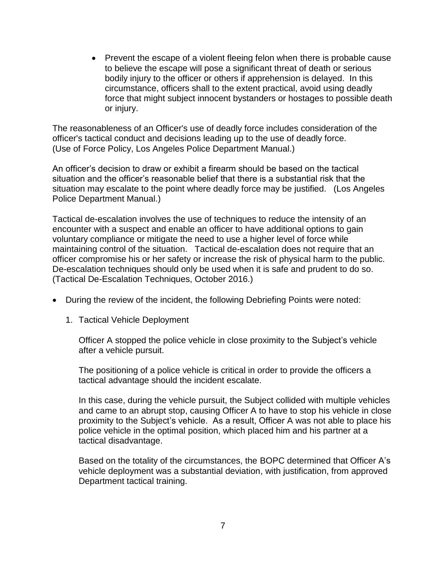• Prevent the escape of a violent fleeing felon when there is probable cause to believe the escape will pose a significant threat of death or serious bodily injury to the officer or others if apprehension is delayed. In this circumstance, officers shall to the extent practical, avoid using deadly force that might subject innocent bystanders or hostages to possible death or injury.

The reasonableness of an Officer's use of deadly force includes consideration of the officer's tactical conduct and decisions leading up to the use of deadly force. (Use of Force Policy, Los Angeles Police Department Manual.)

An officer's decision to draw or exhibit a firearm should be based on the tactical situation and the officer's reasonable belief that there is a substantial risk that the situation may escalate to the point where deadly force may be justified. (Los Angeles Police Department Manual.)

Tactical de-escalation involves the use of techniques to reduce the intensity of an encounter with a suspect and enable an officer to have additional options to gain voluntary compliance or mitigate the need to use a higher level of force while maintaining control of the situation. Tactical de-escalation does not require that an officer compromise his or her safety or increase the risk of physical harm to the public. De-escalation techniques should only be used when it is safe and prudent to do so. (Tactical De-Escalation Techniques, October 2016.)

- During the review of the incident, the following Debriefing Points were noted:
	- 1. Tactical Vehicle Deployment

Officer A stopped the police vehicle in close proximity to the Subject's vehicle after a vehicle pursuit.

The positioning of a police vehicle is critical in order to provide the officers a tactical advantage should the incident escalate.

In this case, during the vehicle pursuit, the Subject collided with multiple vehicles and came to an abrupt stop, causing Officer A to have to stop his vehicle in close proximity to the Subject's vehicle. As a result, Officer A was not able to place his police vehicle in the optimal position, which placed him and his partner at a tactical disadvantage.

Based on the totality of the circumstances, the BOPC determined that Officer A's vehicle deployment was a substantial deviation, with justification, from approved Department tactical training.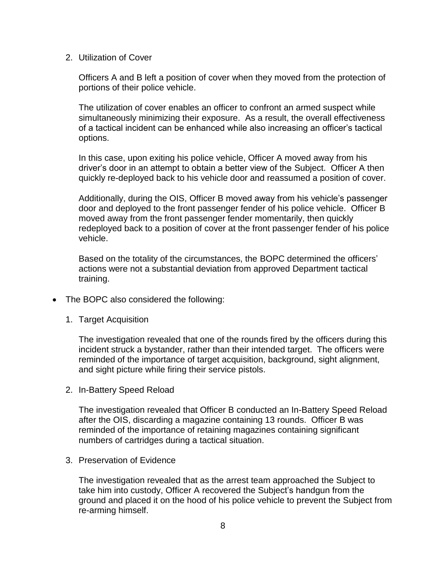2. Utilization of Cover

Officers A and B left a position of cover when they moved from the protection of portions of their police vehicle.

The utilization of cover enables an officer to confront an armed suspect while simultaneously minimizing their exposure. As a result, the overall effectiveness of a tactical incident can be enhanced while also increasing an officer's tactical options.

In this case, upon exiting his police vehicle, Officer A moved away from his driver's door in an attempt to obtain a better view of the Subject. Officer A then quickly re-deployed back to his vehicle door and reassumed a position of cover.

Additionally, during the OIS, Officer B moved away from his vehicle's passenger door and deployed to the front passenger fender of his police vehicle. Officer B moved away from the front passenger fender momentarily, then quickly redeployed back to a position of cover at the front passenger fender of his police vehicle.

Based on the totality of the circumstances, the BOPC determined the officers' actions were not a substantial deviation from approved Department tactical training.

- The BOPC also considered the following:
	- 1. Target Acquisition

The investigation revealed that one of the rounds fired by the officers during this incident struck a bystander, rather than their intended target. The officers were reminded of the importance of target acquisition, background, sight alignment, and sight picture while firing their service pistols.

2. In-Battery Speed Reload

The investigation revealed that Officer B conducted an In-Battery Speed Reload after the OIS, discarding a magazine containing 13 rounds. Officer B was reminded of the importance of retaining magazines containing significant numbers of cartridges during a tactical situation.

3. Preservation of Evidence

The investigation revealed that as the arrest team approached the Subject to take him into custody, Officer A recovered the Subject's handgun from the ground and placed it on the hood of his police vehicle to prevent the Subject from re-arming himself.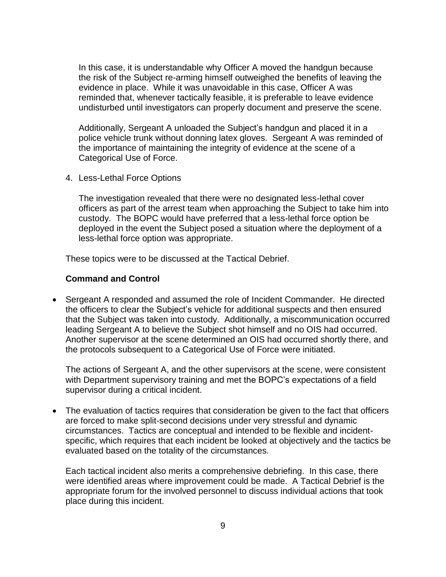In this case, it is understandable why Officer A moved the handgun because the risk of the Subject re-arming himself outweighed the benefits of leaving the evidence in place. While it was unavoidable in this case, Officer A was reminded that, whenever tactically feasible, it is preferable to leave evidence undisturbed until investigators can properly document and preserve the scene.

Additionally, Sergeant A unloaded the Subject's handgun and placed it in a police vehicle trunk without donning latex gloves. Sergeant A was reminded of the importance of maintaining the integrity of evidence at the scene of a Categorical Use of Force.

4. Less-Lethal Force Options

The investigation revealed that there were no designated less-lethal cover officers as part of the arrest team when approaching the Subject to take him into custody. The BOPC would have preferred that a less-lethal force option be deployed in the event the Subject posed a situation where the deployment of a less-lethal force option was appropriate.

These topics were to be discussed at the Tactical Debrief.

#### **Command and Control**

• Sergeant A responded and assumed the role of Incident Commander. He directed the officers to clear the Subject's vehicle for additional suspects and then ensured that the Subject was taken into custody. Additionally, a miscommunication occurred leading Sergeant A to believe the Subject shot himself and no OIS had occurred. Another supervisor at the scene determined an OIS had occurred shortly there, and the protocols subsequent to a Categorical Use of Force were initiated.

The actions of Sergeant A, and the other supervisors at the scene, were consistent with Department supervisory training and met the BOPC's expectations of a field supervisor during a critical incident.

• The evaluation of tactics requires that consideration be given to the fact that officers are forced to make split-second decisions under very stressful and dynamic circumstances. Tactics are conceptual and intended to be flexible and incidentspecific, which requires that each incident be looked at objectively and the tactics be evaluated based on the totality of the circumstances.

Each tactical incident also merits a comprehensive debriefing. In this case, there were identified areas where improvement could be made. A Tactical Debrief is the appropriate forum for the involved personnel to discuss individual actions that took place during this incident.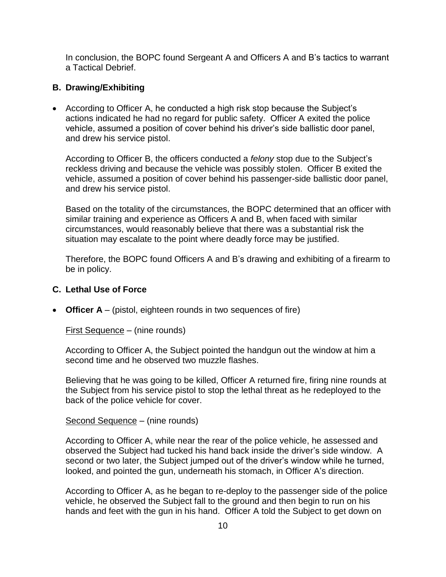In conclusion, the BOPC found Sergeant A and Officers A and B's tactics to warrant a Tactical Debrief.

### **B. Drawing/Exhibiting**

• According to Officer A, he conducted a high risk stop because the Subject's actions indicated he had no regard for public safety. Officer A exited the police vehicle, assumed a position of cover behind his driver's side ballistic door panel, and drew his service pistol.

According to Officer B, the officers conducted a *felony* stop due to the Subject's reckless driving and because the vehicle was possibly stolen. Officer B exited the vehicle, assumed a position of cover behind his passenger-side ballistic door panel, and drew his service pistol.

Based on the totality of the circumstances, the BOPC determined that an officer with similar training and experience as Officers A and B, when faced with similar circumstances, would reasonably believe that there was a substantial risk the situation may escalate to the point where deadly force may be justified.

Therefore, the BOPC found Officers A and B's drawing and exhibiting of a firearm to be in policy.

#### **C. Lethal Use of Force**

• **Officer A** – (pistol, eighteen rounds in two sequences of fire)

First Sequence – (nine rounds)

According to Officer A, the Subject pointed the handgun out the window at him a second time and he observed two muzzle flashes.

Believing that he was going to be killed, Officer A returned fire, firing nine rounds at the Subject from his service pistol to stop the lethal threat as he redeployed to the back of the police vehicle for cover.

Second Sequence – (nine rounds)

According to Officer A, while near the rear of the police vehicle, he assessed and observed the Subject had tucked his hand back inside the driver's side window. A second or two later, the Subject jumped out of the driver's window while he turned, looked, and pointed the gun, underneath his stomach, in Officer A's direction.

According to Officer A, as he began to re-deploy to the passenger side of the police vehicle, he observed the Subject fall to the ground and then begin to run on his hands and feet with the gun in his hand. Officer A told the Subject to get down on